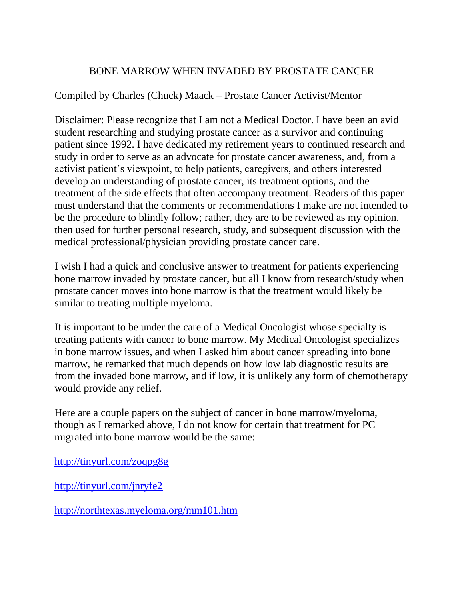## BONE MARROW WHEN INVADED BY PROSTATE CANCER

## Compiled by Charles (Chuck) Maack – Prostate Cancer Activist/Mentor

Disclaimer: Please recognize that I am not a Medical Doctor. I have been an avid student researching and studying prostate cancer as a survivor and continuing patient since 1992. I have dedicated my retirement years to continued research and study in order to serve as an advocate for prostate cancer awareness, and, from a activist patient's viewpoint, to help patients, caregivers, and others interested develop an understanding of prostate cancer, its treatment options, and the treatment of the side effects that often accompany treatment. Readers of this paper must understand that the comments or recommendations I make are not intended to be the procedure to blindly follow; rather, they are to be reviewed as my opinion, then used for further personal research, study, and subsequent discussion with the medical professional/physician providing prostate cancer care.

I wish I had a quick and conclusive answer to treatment for patients experiencing bone marrow invaded by prostate cancer, but all I know from research/study when prostate cancer moves into bone marrow is that the treatment would likely be similar to treating multiple myeloma.

It is important to be under the care of a Medical Oncologist whose specialty is treating patients with cancer to bone marrow. My Medical Oncologist specializes in bone marrow issues, and when I asked him about cancer spreading into bone marrow, he remarked that much depends on how low lab diagnostic results are from the invaded bone marrow, and if low, it is unlikely any form of chemotherapy would provide any relief.

Here are a couple papers on the subject of cancer in bone marrow/myeloma, though as I remarked above, I do not know for certain that treatment for PC migrated into bone marrow would be the same:

<http://tinyurl.com/zoqpg8g>

<http://tinyurl.com/jnryfe2>

<http://northtexas.myeloma.org/mm101.htm>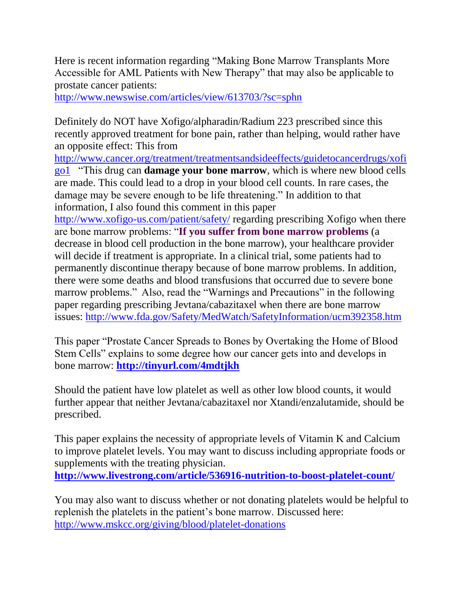Here is recent information regarding "Making Bone Marrow Transplants More Accessible for AML Patients with New Therapy" that may also be applicable to prostate cancer patients:

<http://www.newswise.com/articles/view/613703/?sc=sphn>

Definitely do NOT have Xofigo/alpharadin/Radium 223 prescribed since this recently approved treatment for bone pain, rather than helping, would rather have an opposite effect: This from

[http://www.cancer.org/treatment/treatmentsandsideeffects/guidetocancerdrugs/xofi](http://www.cancer.org/treatment/treatmentsandsideeffects/guidetocancerdrugs/xofi%20go1)  [go1](http://www.cancer.org/treatment/treatmentsandsideeffects/guidetocancerdrugs/xofi%20go1) "This drug can **damage your bone marrow**, which is where new blood cells are made. This could lead to a drop in your blood cell counts. In rare cases, the damage may be severe enough to be life threatening." In addition to that information, I also found this comment in this paper

<http://www.xofigo-us.com/patient/safety/> regarding prescribing Xofigo when there are bone marrow problems: "**If you suffer from bone marrow problems** (a decrease in blood cell production in the bone marrow), your healthcare provider will decide if treatment is appropriate. In a clinical trial, some patients had to permanently discontinue therapy because of bone marrow problems. In addition, there were some deaths and blood transfusions that occurred due to severe bone marrow problems." Also, read the "Warnings and Precautions" in the following paper regarding prescribing Jevtana/cabazitaxel when there are bone marrow issues:<http://www.fda.gov/Safety/MedWatch/SafetyInformation/ucm392358.htm>

This paper "Prostate Cancer Spreads to Bones by Overtaking the Home of Blood Stem Cells" explains to some degree how our cancer gets into and develops in bone marrow: **<http://tinyurl.com/4mdtjkh>**

Should the patient have low platelet as well as other low blood counts, it would further appear that neither Jevtana/cabazitaxel nor Xtandi/enzalutamide, should be prescribed.

This paper explains the necessity of appropriate levels of Vitamin K and Calcium to improve platelet levels. You may want to discuss including appropriate foods or supplements with the treating physician. **<http://www.livestrong.com/article/536916-nutrition-to-boost-platelet-count/>**

You may also want to discuss whether or not donating platelets would be helpful to replenish the platelets in the patient's bone marrow. Discussed here: <http://www.mskcc.org/giving/blood/platelet-donations>